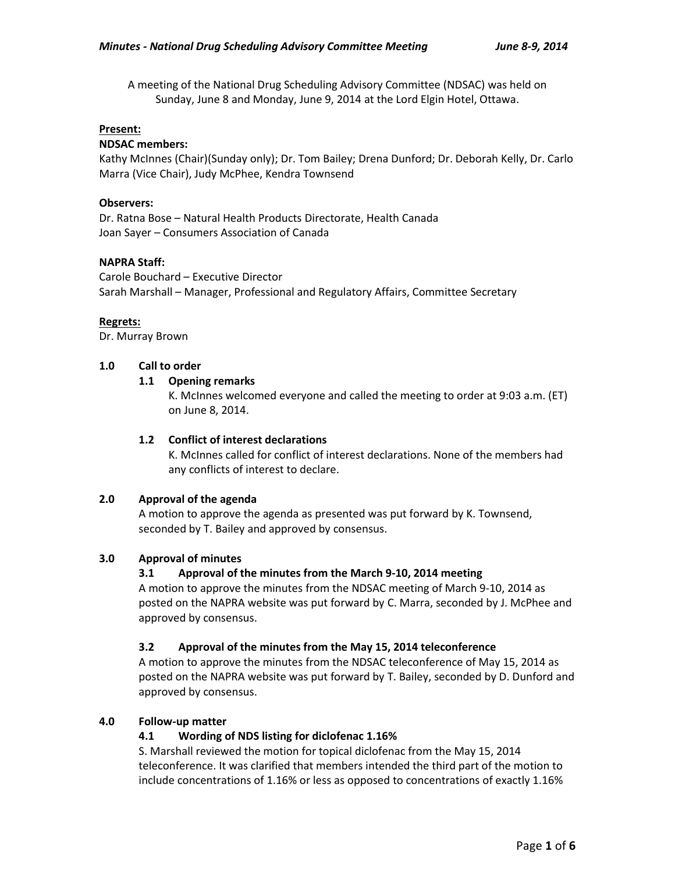A meeting of the National Drug Scheduling Advisory Committee (NDSAC) was held on Sunday, June 8 and Monday, June 9, 2014 at the Lord Elgin Hotel, Ottawa.

## **Present:**

## **NDSAC members:**

Kathy McInnes (Chair)(Sunday only); Dr. Tom Bailey; Drena Dunford; Dr. Deborah Kelly, Dr. Carlo Marra (Vice Chair), Judy McPhee, Kendra Townsend

## **Observers:**

Dr. Ratna Bose – Natural Health Products Directorate, Health Canada Joan Sayer – Consumers Association of Canada

## **NAPRA Staff:**

Carole Bouchard – Executive Director Sarah Marshall – Manager, Professional and Regulatory Affairs, Committee Secretary

## **Regrets:**

Dr. Murray Brown

# **1.0 Call to order**

# **1.1 Opening remarks**

K. McInnes welcomed everyone and called the meeting to order at 9:03 a.m. (ET) on June 8, 2014.

#### **1.2 Conflict of interest declarations**

K. McInnes called for conflict of interest declarations. None of the members had any conflicts of interest to declare.

#### **2.0 Approval of the agenda**

A motion to approve the agenda as presented was put forward by K. Townsend, seconded by T. Bailey and approved by consensus.

## **3.0 Approval of minutes**

# **3.1 Approval of the minutes from the March 9-10, 2014 meeting**

A motion to approve the minutes from the NDSAC meeting of March 9-10, 2014 as posted on the NAPRA website was put forward by C. Marra, seconded by J. McPhee and approved by consensus.

#### **3.2 Approval of the minutes from the May 15, 2014 teleconference**

A motion to approve the minutes from the NDSAC teleconference of May 15, 2014 as posted on the NAPRA website was put forward by T. Bailey, seconded by D. Dunford and approved by consensus.

#### **4.0 Follow-up matter**

# **4.1 Wording of NDS listing for diclofenac 1.16%**

S. Marshall reviewed the motion for topical diclofenac from the May 15, 2014 teleconference. It was clarified that members intended the third part of the motion to include concentrations of 1.16% or less as opposed to concentrations of exactly 1.16%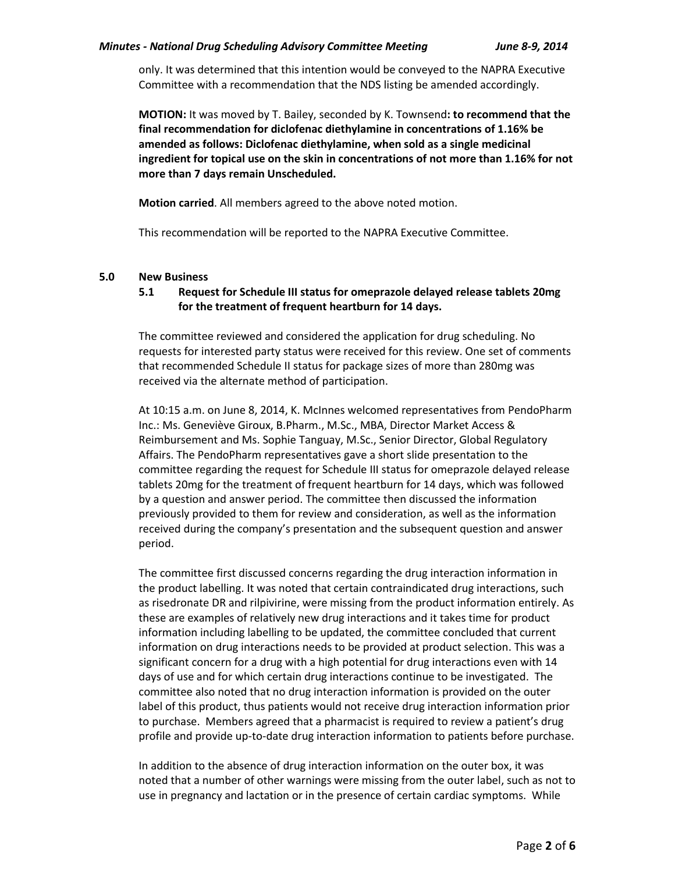only. It was determined that this intention would be conveyed to the NAPRA Executive Committee with a recommendation that the NDS listing be amended accordingly.

**MOTION:** It was moved by T. Bailey, seconded by K. Townsend**: to recommend that the final recommendation for diclofenac diethylamine in concentrations of 1.16% be amended as follows: Diclofenac diethylamine, when sold as a single medicinal ingredient for topical use on the skin in concentrations of not more than 1.16% for not more than 7 days remain Unscheduled.** 

**Motion carried**. All members agreed to the above noted motion.

This recommendation will be reported to the NAPRA Executive Committee.

#### **5.0 New Business**

# **5.1 Request for Schedule III status for omeprazole delayed release tablets 20mg for the treatment of frequent heartburn for 14 days.**

The committee reviewed and considered the application for drug scheduling. No requests for interested party status were received for this review. One set of comments that recommended Schedule II status for package sizes of more than 280mg was received via the alternate method of participation.

At 10:15 a.m. on June 8, 2014, K. McInnes welcomed representatives from PendoPharm Inc.: Ms. Geneviève Giroux, B.Pharm., M.Sc., MBA, Director Market Access & Reimbursement and Ms. Sophie Tanguay, M.Sc., Senior Director, Global Regulatory Affairs. The PendoPharm representatives gave a short slide presentation to the committee regarding the request for Schedule III status for omeprazole delayed release tablets 20mg for the treatment of frequent heartburn for 14 days, which was followed by a question and answer period. The committee then discussed the information previously provided to them for review and consideration, as well as the information received during the company's presentation and the subsequent question and answer period.

The committee first discussed concerns regarding the drug interaction information in the product labelling. It was noted that certain contraindicated drug interactions, such as risedronate DR and rilpivirine, were missing from the product information entirely. As these are examples of relatively new drug interactions and it takes time for product information including labelling to be updated, the committee concluded that current information on drug interactions needs to be provided at product selection. This was a significant concern for a drug with a high potential for drug interactions even with 14 days of use and for which certain drug interactions continue to be investigated. The committee also noted that no drug interaction information is provided on the outer label of this product, thus patients would not receive drug interaction information prior to purchase. Members agreed that a pharmacist is required to review a patient's drug profile and provide up-to-date drug interaction information to patients before purchase.

In addition to the absence of drug interaction information on the outer box, it was noted that a number of other warnings were missing from the outer label, such as not to use in pregnancy and lactation or in the presence of certain cardiac symptoms. While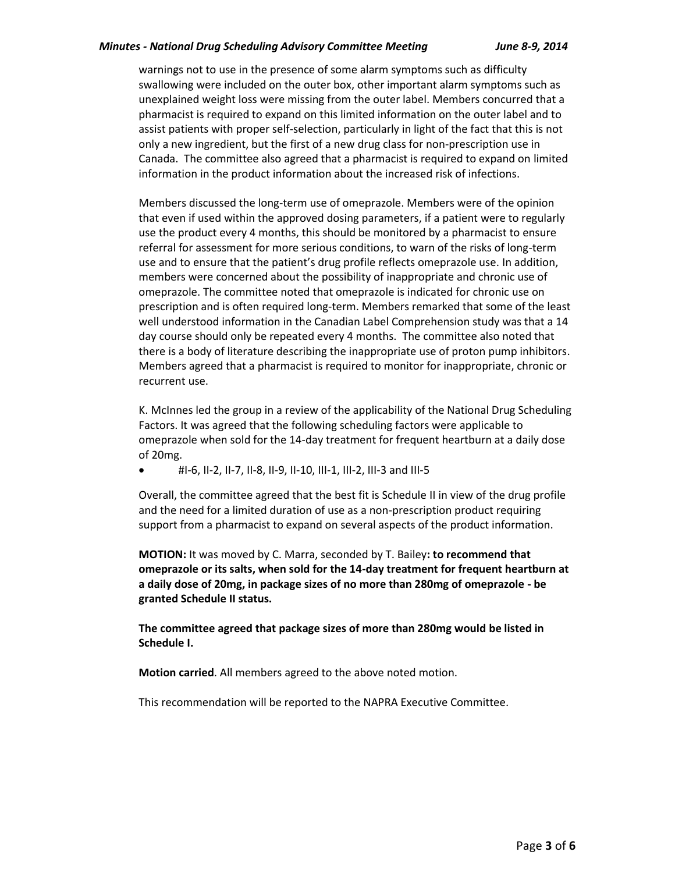#### *Minutes - National Drug Scheduling Advisory Committee Meeting June 8-9, 2014*

warnings not to use in the presence of some alarm symptoms such as difficulty swallowing were included on the outer box, other important alarm symptoms such as unexplained weight loss were missing from the outer label. Members concurred that a pharmacist is required to expand on this limited information on the outer label and to assist patients with proper self-selection, particularly in light of the fact that this is not only a new ingredient, but the first of a new drug class for non-prescription use in Canada. The committee also agreed that a pharmacist is required to expand on limited information in the product information about the increased risk of infections.

Members discussed the long-term use of omeprazole. Members were of the opinion that even if used within the approved dosing parameters, if a patient were to regularly use the product every 4 months, this should be monitored by a pharmacist to ensure referral for assessment for more serious conditions, to warn of the risks of long-term use and to ensure that the patient's drug profile reflects omeprazole use. In addition, members were concerned about the possibility of inappropriate and chronic use of omeprazole. The committee noted that omeprazole is indicated for chronic use on prescription and is often required long-term. Members remarked that some of the least well understood information in the Canadian Label Comprehension study was that a 14 day course should only be repeated every 4 months. The committee also noted that there is a body of literature describing the inappropriate use of proton pump inhibitors. Members agreed that a pharmacist is required to monitor for inappropriate, chronic or recurrent use.

K. McInnes led the group in a review of the applicability of the National Drug Scheduling Factors. It was agreed that the following scheduling factors were applicable to omeprazole when sold for the 14-day treatment for frequent heartburn at a daily dose of 20mg.

 $\bullet$  #I-6, II-2, II-7, II-8, II-9, II-10, III-1, III-2, III-3 and III-5

Overall, the committee agreed that the best fit is Schedule II in view of the drug profile and the need for a limited duration of use as a non-prescription product requiring support from a pharmacist to expand on several aspects of the product information.

**MOTION:** It was moved by C. Marra, seconded by T. Bailey**: to recommend that omeprazole or its salts, when sold for the 14-day treatment for frequent heartburn at a daily dose of 20mg, in package sizes of no more than 280mg of omeprazole - be granted Schedule II status.** 

**The committee agreed that package sizes of more than 280mg would be listed in Schedule I.** 

**Motion carried**. All members agreed to the above noted motion.

This recommendation will be reported to the NAPRA Executive Committee.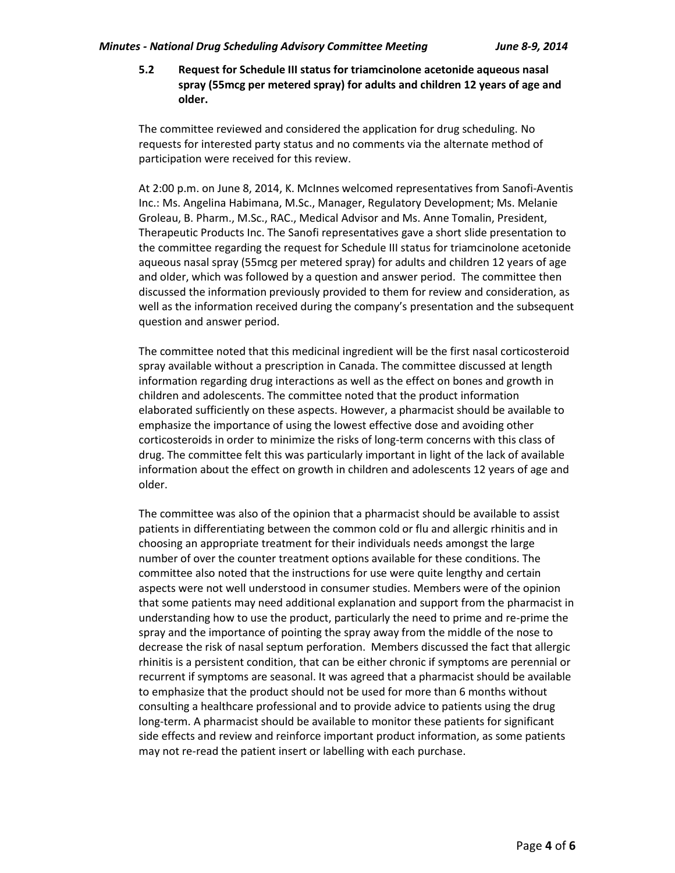**5.2 Request for Schedule III status for triamcinolone acetonide aqueous nasal spray (55mcg per metered spray) for adults and children 12 years of age and older.** 

The committee reviewed and considered the application for drug scheduling. No requests for interested party status and no comments via the alternate method of participation were received for this review.

At 2:00 p.m. on June 8, 2014, K. McInnes welcomed representatives from Sanofi-Aventis Inc.: Ms. Angelina Habimana, M.Sc., Manager, Regulatory Development; Ms. Melanie Groleau, B. Pharm., M.Sc., RAC., Medical Advisor and Ms. Anne Tomalin, President, Therapeutic Products Inc. The Sanofi representatives gave a short slide presentation to the committee regarding the request for Schedule III status for triamcinolone acetonide aqueous nasal spray (55mcg per metered spray) for adults and children 12 years of age and older, which was followed by a question and answer period. The committee then discussed the information previously provided to them for review and consideration, as well as the information received during the company's presentation and the subsequent question and answer period.

The committee noted that this medicinal ingredient will be the first nasal corticosteroid spray available without a prescription in Canada. The committee discussed at length information regarding drug interactions as well as the effect on bones and growth in children and adolescents. The committee noted that the product information elaborated sufficiently on these aspects. However, a pharmacist should be available to emphasize the importance of using the lowest effective dose and avoiding other corticosteroids in order to minimize the risks of long-term concerns with this class of drug. The committee felt this was particularly important in light of the lack of available information about the effect on growth in children and adolescents 12 years of age and older.

The committee was also of the opinion that a pharmacist should be available to assist patients in differentiating between the common cold or flu and allergic rhinitis and in choosing an appropriate treatment for their individuals needs amongst the large number of over the counter treatment options available for these conditions. The committee also noted that the instructions for use were quite lengthy and certain aspects were not well understood in consumer studies. Members were of the opinion that some patients may need additional explanation and support from the pharmacist in understanding how to use the product, particularly the need to prime and re-prime the spray and the importance of pointing the spray away from the middle of the nose to decrease the risk of nasal septum perforation. Members discussed the fact that allergic rhinitis is a persistent condition, that can be either chronic if symptoms are perennial or recurrent if symptoms are seasonal. It was agreed that a pharmacist should be available to emphasize that the product should not be used for more than 6 months without consulting a healthcare professional and to provide advice to patients using the drug long-term. A pharmacist should be available to monitor these patients for significant side effects and review and reinforce important product information, as some patients may not re-read the patient insert or labelling with each purchase.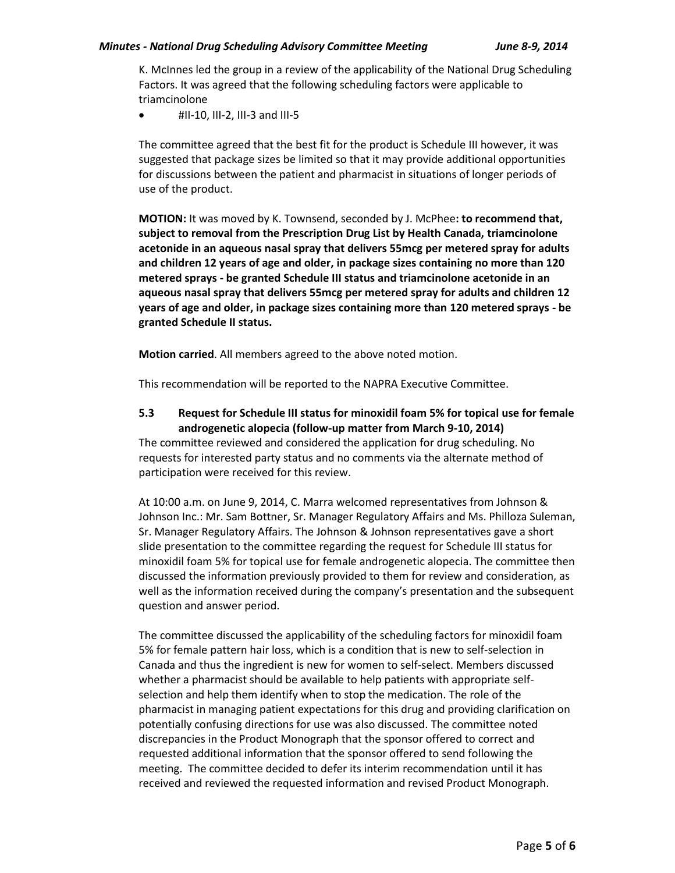K. McInnes led the group in a review of the applicability of the National Drug Scheduling Factors. It was agreed that the following scheduling factors were applicable to triamcinolone

#II-10, III-2, III-3 and III-5

The committee agreed that the best fit for the product is Schedule III however, it was suggested that package sizes be limited so that it may provide additional opportunities for discussions between the patient and pharmacist in situations of longer periods of use of the product.

**MOTION:** It was moved by K. Townsend, seconded by J. McPhee**: to recommend that, subject to removal from the Prescription Drug List by Health Canada, triamcinolone acetonide in an aqueous nasal spray that delivers 55mcg per metered spray for adults and children 12 years of age and older, in package sizes containing no more than 120 metered sprays - be granted Schedule III status and triamcinolone acetonide in an aqueous nasal spray that delivers 55mcg per metered spray for adults and children 12 years of age and older, in package sizes containing more than 120 metered sprays - be granted Schedule II status.**

**Motion carried**. All members agreed to the above noted motion.

This recommendation will be reported to the NAPRA Executive Committee.

# **5.3 Request for Schedule III status for minoxidil foam 5% for topical use for female androgenetic alopecia (follow-up matter from March 9-10, 2014)**

The committee reviewed and considered the application for drug scheduling. No requests for interested party status and no comments via the alternate method of participation were received for this review.

At 10:00 a.m. on June 9, 2014, C. Marra welcomed representatives from Johnson & Johnson Inc.: Mr. Sam Bottner, Sr. Manager Regulatory Affairs and Ms. Philloza Suleman, Sr. Manager Regulatory Affairs. The Johnson & Johnson representatives gave a short slide presentation to the committee regarding the request for Schedule III status for minoxidil foam 5% for topical use for female androgenetic alopecia. The committee then discussed the information previously provided to them for review and consideration, as well as the information received during the company's presentation and the subsequent question and answer period.

The committee discussed the applicability of the scheduling factors for minoxidil foam 5% for female pattern hair loss, which is a condition that is new to self-selection in Canada and thus the ingredient is new for women to self-select. Members discussed whether a pharmacist should be available to help patients with appropriate selfselection and help them identify when to stop the medication. The role of the pharmacist in managing patient expectations for this drug and providing clarification on potentially confusing directions for use was also discussed. The committee noted discrepancies in the Product Monograph that the sponsor offered to correct and requested additional information that the sponsor offered to send following the meeting. The committee decided to defer its interim recommendation until it has received and reviewed the requested information and revised Product Monograph.